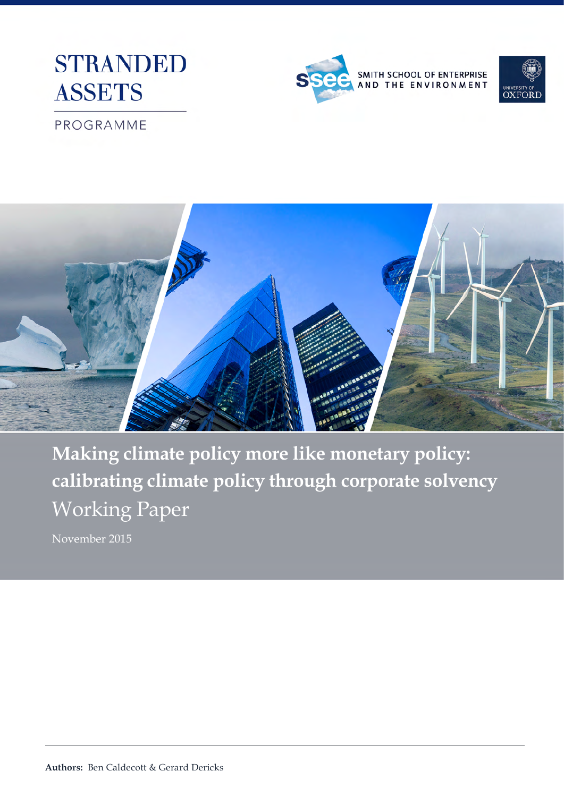





### PROGRAMME



**Making climate policy more like monetary policy: calibrating climate policy through corporate solvency** Working Paper

November 2015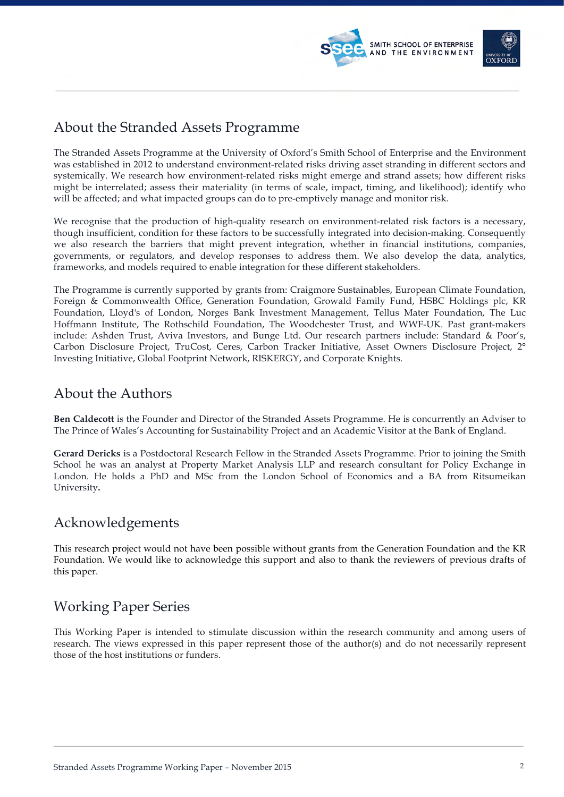



### About the Stranded Assets Programme

The Stranded Assets Programme at the University of Oxford's Smith School of Enterprise and the Environment was established in 2012 to understand environment-related risks driving asset stranding in different sectors and systemically. We research how environment-related risks might emerge and strand assets; how different risks might be interrelated; assess their materiality (in terms of scale, impact, timing, and likelihood); identify who will be affected; and what impacted groups can do to pre-emptively manage and monitor risk.

We recognise that the production of high-quality research on environment-related risk factors is a necessary, though insufficient, condition for these factors to be successfully integrated into decision-making. Consequently we also research the barriers that might prevent integration, whether in financial institutions, companies, governments, or regulators, and develop responses to address them. We also develop the data, analytics, frameworks, and models required to enable integration for these different stakeholders.

The Programme is currently supported by grants from: Craigmore Sustainables, European Climate Foundation, Foreign & Commonwealth Office, Generation Foundation, Growald Family Fund, HSBC Holdings plc, KR Foundation, Lloyd's of London, Norges Bank Investment Management, Tellus Mater Foundation, The Luc Hoffmann Institute, The Rothschild Foundation, The Woodchester Trust, and WWF-UK. Past grant-makers include: Ashden Trust, Aviva Investors, and Bunge Ltd. Our research partners include: Standard & Poor's, Carbon Disclosure Project, TruCost, Ceres, Carbon Tracker Initiative, Asset Owners Disclosure Project, 2° Investing Initiative, Global Footprint Network, RISKERGY, and Corporate Knights.

### About the Authors

**Ben Caldecott** is the Founder and Director of the Stranded Assets Programme. He is concurrently an Adviser to The Prince of Wales's Accounting for Sustainability Project and an Academic Visitor at the Bank of England.

**Gerard Dericks** is a Postdoctoral Research Fellow in the Stranded Assets Programme. Prior to joining the Smith School he was an analyst at Property Market Analysis LLP and research consultant for Policy Exchange in London. He holds a PhD and MSc from the London School of Economics and a BA from Ritsumeikan University**.**

### Acknowledgements

This research project would not have been possible without grants from the Generation Foundation and the KR Foundation. We would like to acknowledge this support and also to thank the reviewers of previous drafts of this paper.

### Working Paper Series

This Working Paper is intended to stimulate discussion within the research community and among users of research. The views expressed in this paper represent those of the author(s) and do not necessarily represent those of the host institutions or funders.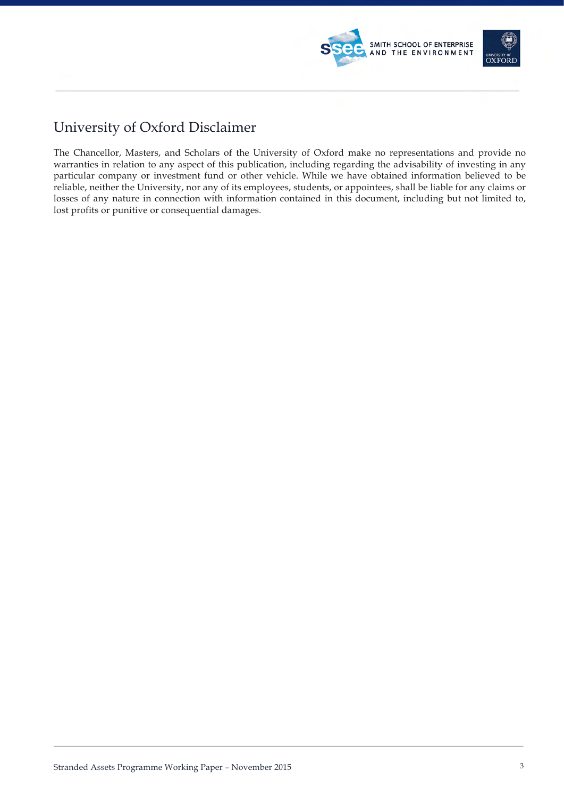

### University of Oxford Disclaimer

The Chancellor, Masters, and Scholars of the University of Oxford make no representations and provide no warranties in relation to any aspect of this publication, including regarding the advisability of investing in any particular company or investment fund or other vehicle. While we have obtained information believed to be reliable, neither the University, nor any of its employees, students, or appointees, shall be liable for any claims or losses of any nature in connection with information contained in this document, including but not limited to, lost profits or punitive or consequential damages.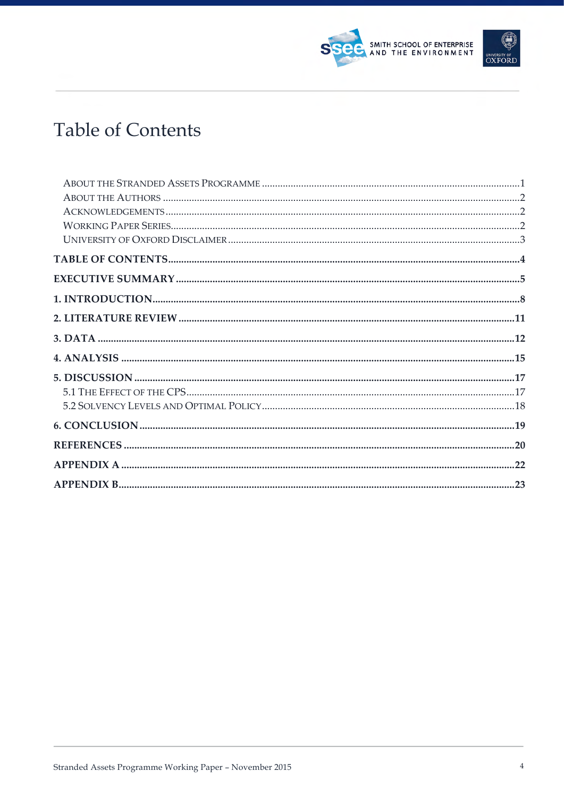# **Table of Contents**

SMITH SCHOOL OF ENTERPRISE<br>AND THE ENVIRONMENT

UNIVERSITY OF<br>**OXFORD**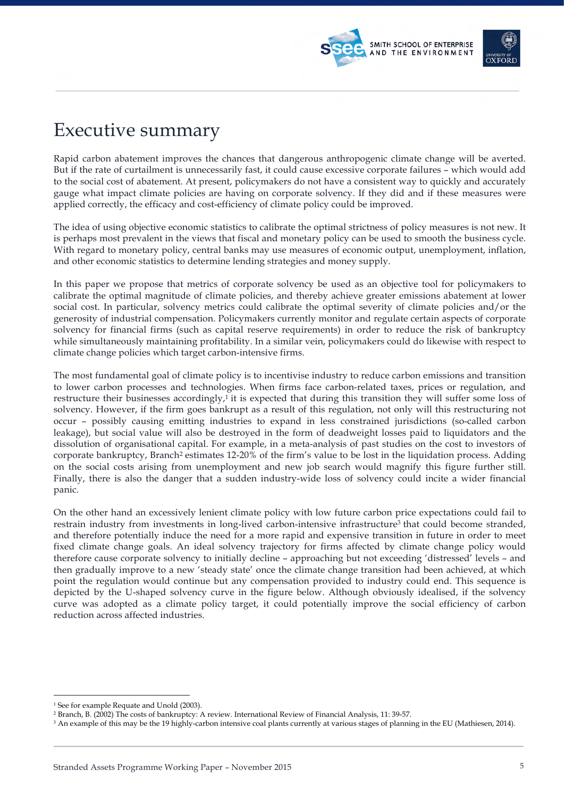



## Executive summary

Rapid carbon abatement improves the chances that dangerous anthropogenic climate change will be averted. But if the rate of curtailment is unnecessarily fast, it could cause excessive corporate failures – which would add to the social cost of abatement. At present, policymakers do not have a consistent way to quickly and accurately gauge what impact climate policies are having on corporate solvency. If they did and if these measures were applied correctly, the efficacy and cost-efficiency of climate policy could be improved.

The idea of using objective economic statistics to calibrate the optimal strictness of policy measures is not new. It is perhaps most prevalent in the views that fiscal and monetary policy can be used to smooth the business cycle. With regard to monetary policy, central banks may use measures of economic output, unemployment, inflation, and other economic statistics to determine lending strategies and money supply.

In this paper we propose that metrics of corporate solvency be used as an objective tool for policymakers to calibrate the optimal magnitude of climate policies, and thereby achieve greater emissions abatement at lower social cost. In particular, solvency metrics could calibrate the optimal severity of climate policies and/or the generosity of industrial compensation. Policymakers currently monitor and regulate certain aspects of corporate solvency for financial firms (such as capital reserve requirements) in order to reduce the risk of bankruptcy while simultaneously maintaining profitability. In a similar vein, policymakers could do likewise with respect to climate change policies which target carbon-intensive firms.

The most fundamental goal of climate policy is to incentivise industry to reduce carbon emissions and transition to lower carbon processes and technologies. When firms face carbon-related taxes, prices or regulation, and restructure their businesses accordingly,<sup>1</sup> it is expected that during this transition they will suffer some loss of solvency. However, if the firm goes bankrupt as a result of this regulation, not only will this restructuring not occur – possibly causing emitting industries to expand in less constrained jurisdictions (so-called carbon leakage), but social value will also be destroyed in the form of deadweight losses paid to liquidators and the dissolution of organisational capital. For example, in a meta-analysis of past studies on the cost to investors of corporate bankruptcy, Branch2 estimates 12-20% of the firm's value to be lost in the liquidation process. Adding on the social costs arising from unemployment and new job search would magnify this figure further still. Finally, there is also the danger that a sudden industry-wide loss of solvency could incite a wider financial panic.

On the other hand an excessively lenient climate policy with low future carbon price expectations could fail to restrain industry from investments in long-lived carbon-intensive infrastructure<sup>3</sup> that could become stranded, and therefore potentially induce the need for a more rapid and expensive transition in future in order to meet fixed climate change goals. An ideal solvency trajectory for firms affected by climate change policy would therefore cause corporate solvency to initially decline – approaching but not exceeding 'distressed' levels – and then gradually improve to a new 'steady state' once the climate change transition had been achieved, at which point the regulation would continue but any compensation provided to industry could end. This sequence is depicted by the U-shaped solvency curve in the figure below. Although obviously idealised, if the solvency curve was adopted as a climate policy target, it could potentially improve the social efficiency of carbon reduction across affected industries.

<sup>&</sup>lt;sup>1</sup> See for example Requate and Unold (2003).

<sup>2</sup> Branch, B. (2002) The costs of bankruptcy: A review. International Review of Financial Analysis, 11: 39-57.

<sup>&</sup>lt;sup>3</sup> An example of this may be the 19 highly-carbon intensive coal plants currently at various stages of planning in the EU (Mathiesen, 2014).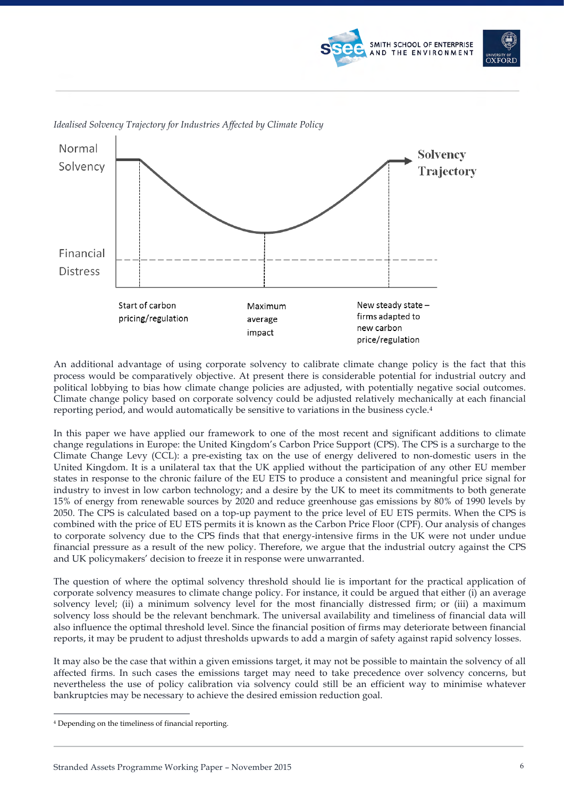





*Idealised Solvency Trajectory for Industries Affected by Climate Policy*

An additional advantage of using corporate solvency to calibrate climate change policy is the fact that this process would be comparatively objective. At present there is considerable potential for industrial outcry and political lobbying to bias how climate change policies are adjusted, with potentially negative social outcomes. Climate change policy based on corporate solvency could be adjusted relatively mechanically at each financial reporting period, and would automatically be sensitive to variations in the business cycle.4

In this paper we have applied our framework to one of the most recent and significant additions to climate change regulations in Europe: the United Kingdom's Carbon Price Support (CPS). The CPS is a surcharge to the Climate Change Levy (CCL): a pre-existing tax on the use of energy delivered to non-domestic users in the United Kingdom. It is a unilateral tax that the UK applied without the participation of any other EU member states in response to the chronic failure of the EU ETS to produce a consistent and meaningful price signal for industry to invest in low carbon technology; and a desire by the UK to meet its commitments to both generate 15% of energy from renewable sources by 2020 and reduce greenhouse gas emissions by 80% of 1990 levels by 2050. The CPS is calculated based on a top-up payment to the price level of EU ETS permits. When the CPS is combined with the price of EU ETS permits it is known as the Carbon Price Floor (CPF). Our analysis of changes to corporate solvency due to the CPS finds that that energy-intensive firms in the UK were not under undue financial pressure as a result of the new policy. Therefore, we argue that the industrial outcry against the CPS and UK policymakers' decision to freeze it in response were unwarranted.

The question of where the optimal solvency threshold should lie is important for the practical application of corporate solvency measures to climate change policy. For instance, it could be argued that either (i) an average solvency level; (ii) a minimum solvency level for the most financially distressed firm; or (iii) a maximum solvency loss should be the relevant benchmark. The universal availability and timeliness of financial data will also influence the optimal threshold level. Since the financial position of firms may deteriorate between financial reports, it may be prudent to adjust thresholds upwards to add a margin of safety against rapid solvency losses.

It may also be the case that within a given emissions target, it may not be possible to maintain the solvency of all affected firms. In such cases the emissions target may need to take precedence over solvency concerns, but nevertheless the use of policy calibration via solvency could still be an efficient way to minimise whatever bankruptcies may be necessary to achieve the desired emission reduction goal.

 <sup>4</sup> Depending on the timeliness of financial reporting.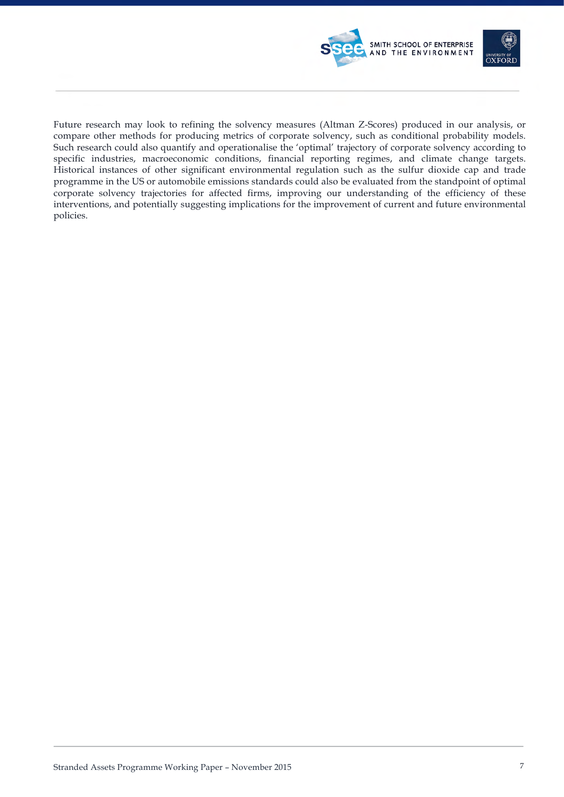

Future research may look to refining the solvency measures (Altman Z-Scores) produced in our analysis, or compare other methods for producing metrics of corporate solvency, such as conditional probability models. Such research could also quantify and operationalise the 'optimal' trajectory of corporate solvency according to specific industries, macroeconomic conditions, financial reporting regimes, and climate change targets. Historical instances of other significant environmental regulation such as the sulfur dioxide cap and trade programme in the US or automobile emissions standards could also be evaluated from the standpoint of optimal corporate solvency trajectories for affected firms, improving our understanding of the efficiency of these interventions, and potentially suggesting implications for the improvement of current and future environmental policies.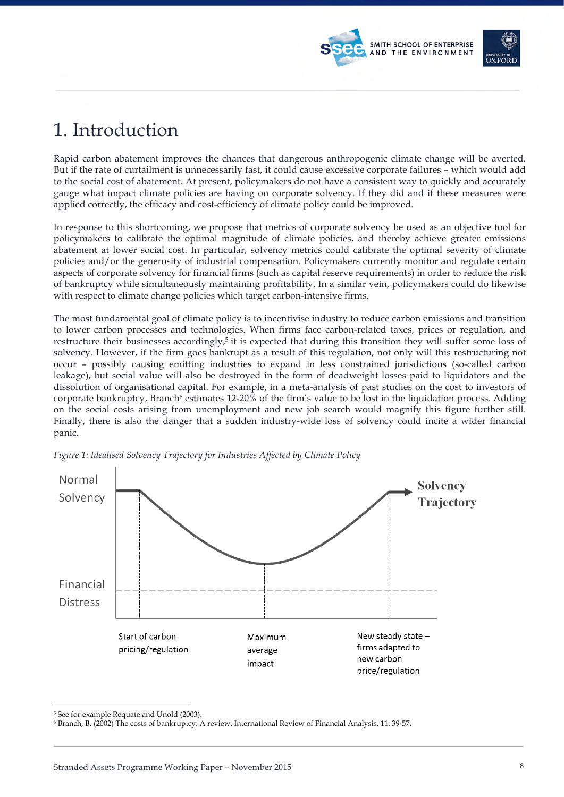## 1. Introduction

Rapid carbon abatement improves the chances that dangerous anthropogenic climate change will be averted. But if the rate of curtailment is unnecessarily fast, it could cause excessive corporate failures – which would add to the social cost of abatement. At present, policymakers do not have a consistent way to quickly and accurately gauge what impact climate policies are having on corporate solvency. If they did and if these measures were applied correctly, the efficacy and cost-efficiency of climate policy could be improved.

SMITH SCHOOL OF ENTERPRISE AND THE ENVIRONMENT

In response to this shortcoming, we propose that metrics of corporate solvency be used as an objective tool for policymakers to calibrate the optimal magnitude of climate policies, and thereby achieve greater emissions abatement at lower social cost. In particular, solvency metrics could calibrate the optimal severity of climate policies and/or the generosity of industrial compensation. Policymakers currently monitor and regulate certain aspects of corporate solvency for financial firms (such as capital reserve requirements) in order to reduce the risk of bankruptcy while simultaneously maintaining profitability. In a similar vein, policymakers could do likewise with respect to climate change policies which target carbon-intensive firms.

The most fundamental goal of climate policy is to incentivise industry to reduce carbon emissions and transition to lower carbon processes and technologies. When firms face carbon-related taxes, prices or regulation, and restructure their businesses accordingly,<sup>5</sup> it is expected that during this transition they will suffer some loss of solvency. However, if the firm goes bankrupt as a result of this regulation, not only will this restructuring not occur – possibly causing emitting industries to expand in less constrained jurisdictions (so-called carbon leakage), but social value will also be destroyed in the form of deadweight losses paid to liquidators and the dissolution of organisational capital. For example, in a meta-analysis of past studies on the cost to investors of corporate bankruptcy, Branch<sup>6</sup> estimates 12-20% of the firm's value to be lost in the liquidation process. Adding on the social costs arising from unemployment and new job search would magnify this figure further still. Finally, there is also the danger that a sudden industry-wide loss of solvency could incite a wider financial panic.



*Figure 1: Idealised Solvency Trajectory for Industries Affected by Climate Policy*

<sup>&</sup>lt;sup>5</sup> See for example Requate and Unold (2003).

<sup>6</sup> Branch, B. (2002) The costs of bankruptcy: A review. International Review of Financial Analysis, 11: 39-57.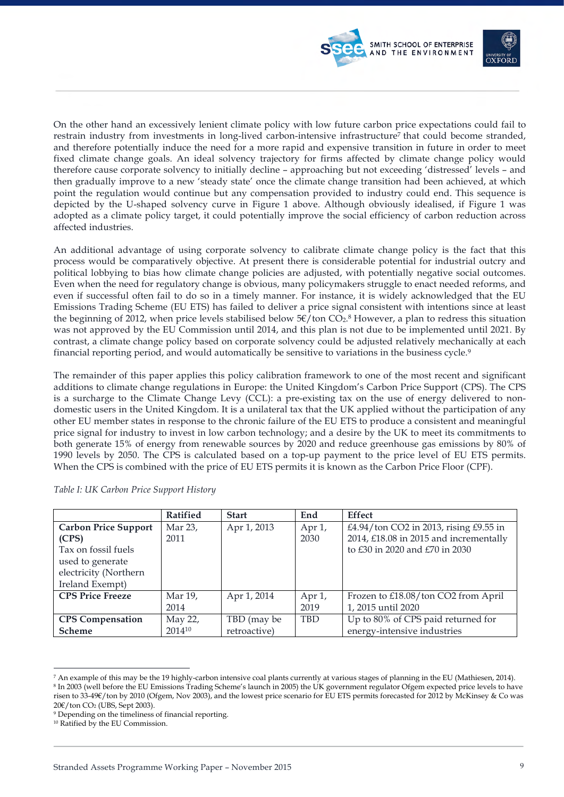



On the other hand an excessively lenient climate policy with low future carbon price expectations could fail to restrain industry from investments in long-lived carbon-intensive infrastructure<sup>7</sup> that could become stranded, and therefore potentially induce the need for a more rapid and expensive transition in future in order to meet fixed climate change goals. An ideal solvency trajectory for firms affected by climate change policy would therefore cause corporate solvency to initially decline – approaching but not exceeding 'distressed' levels – and then gradually improve to a new 'steady state' once the climate change transition had been achieved, at which point the regulation would continue but any compensation provided to industry could end. This sequence is depicted by the U-shaped solvency curve in Figure 1 above. Although obviously idealised, if Figure 1 was adopted as a climate policy target, it could potentially improve the social efficiency of carbon reduction across affected industries.

An additional advantage of using corporate solvency to calibrate climate change policy is the fact that this process would be comparatively objective. At present there is considerable potential for industrial outcry and political lobbying to bias how climate change policies are adjusted, with potentially negative social outcomes. Even when the need for regulatory change is obvious, many policymakers struggle to enact needed reforms, and even if successful often fail to do so in a timely manner. For instance, it is widely acknowledged that the EU Emissions Trading Scheme (EU ETS) has failed to deliver a price signal consistent with intentions since at least the beginning of 2012, when price levels stabilised below  $5 \epsilon / \text{ton CO}_2$ .<sup>8</sup> However, a plan to redress this situation was not approved by the EU Commission until 2014, and this plan is not due to be implemented until 2021. By contrast, a climate change policy based on corporate solvency could be adjusted relatively mechanically at each financial reporting period, and would automatically be sensitive to variations in the business cycle.9

The remainder of this paper applies this policy calibration framework to one of the most recent and significant additions to climate change regulations in Europe: the United Kingdom's Carbon Price Support (CPS). The CPS is a surcharge to the Climate Change Levy (CCL): a pre-existing tax on the use of energy delivered to nondomestic users in the United Kingdom. It is a unilateral tax that the UK applied without the participation of any other EU member states in response to the chronic failure of the EU ETS to produce a consistent and meaningful price signal for industry to invest in low carbon technology; and a desire by the UK to meet its commitments to both generate 15% of energy from renewable sources by 2020 and reduce greenhouse gas emissions by 80% of 1990 levels by 2050. The CPS is calculated based on a top-up payment to the price level of EU ETS permits. When the CPS is combined with the price of EU ETS permits it is known as the Carbon Price Floor (CPF).

|                             | Ratified | <b>Start</b> | End        | <b>Effect</b>                          |
|-----------------------------|----------|--------------|------------|----------------------------------------|
| <b>Carbon Price Support</b> | Mar 23,  | Apr 1, 2013  | Apr 1,     | £4.94/ton CO2 in 2013, rising £9.55 in |
| (CPS)                       | 2011     |              | 2030       | 2014, £18.08 in 2015 and incrementally |
| Tax on fossil fuels         |          |              |            | to £30 in 2020 and £70 in 2030         |
| used to generate            |          |              |            |                                        |
| electricity (Northern       |          |              |            |                                        |
| Ireland Exempt)             |          |              |            |                                        |
| <b>CPS Price Freeze</b>     | Mar 19,  | Apr 1, 2014  | Apr 1,     | Frozen to £18.08/ton CO2 from April    |
|                             | 2014     |              | 2019       | 1, 2015 until 2020                     |
| <b>CPS</b> Compensation     | May 22,  | TBD (may be) | <b>TBD</b> | Up to 80% of CPS paid returned for     |
| <b>Scheme</b>               | 201410   | retroactive) |            | energy-intensive industries            |

*Table I: UK Carbon Price Support History*

-

<sup>7</sup> An example of this may be the 19 highly-carbon intensive coal plants currently at various stages of planning in the EU (Mathiesen, 2014). <sup>8</sup> In 2003 (well before the EU Emissions Trading Scheme's launch in 2005) the UK government regulator Ofgem expected price levels to have risen to 33-49€/ton by 2010 (Ofgem, Nov 2003), and the lowest price scenario for EU ETS permits forecasted for 2012 by McKinsey & Co was 20€/ton CO<sub>2</sub> (UBS, Sept 2003).

<sup>9</sup> Depending on the timeliness of financial reporting.

<sup>10</sup> Ratified by the EU Commission.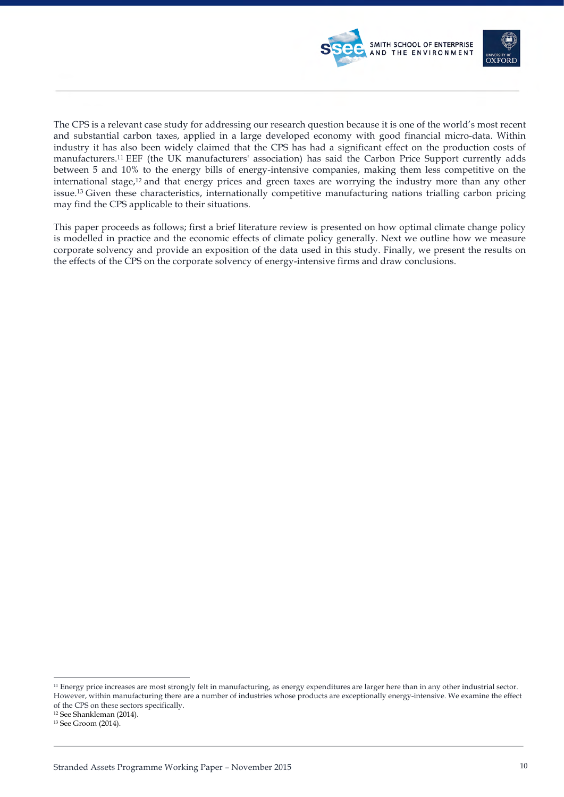

The CPS is a relevant case study for addressing our research question because it is one of the world's most recent and substantial carbon taxes, applied in a large developed economy with good financial micro-data. Within industry it has also been widely claimed that the CPS has had a significant effect on the production costs of manufacturers.11 EEF (the UK manufacturers' association) has said the Carbon Price Support currently adds between 5 and 10% to the energy bills of energy-intensive companies, making them less competitive on the international stage,12 and that energy prices and green taxes are worrying the industry more than any other issue.13 Given these characteristics, internationally competitive manufacturing nations trialling carbon pricing may find the CPS applicable to their situations.

This paper proceeds as follows; first a brief literature review is presented on how optimal climate change policy is modelled in practice and the economic effects of climate policy generally. Next we outline how we measure corporate solvency and provide an exposition of the data used in this study. Finally, we present the results on the effects of the CPS on the corporate solvency of energy-intensive firms and draw conclusions.

<sup>&</sup>lt;sup>11</sup> Energy price increases are most strongly felt in manufacturing, as energy expenditures are larger here than in any other industrial sector. However, within manufacturing there are a number of industries whose products are exceptionally energy-intensive. We examine the effect of the CPS on these sectors specifically.

<sup>12</sup> See Shankleman (2014).

<sup>13</sup> See Groom (2014).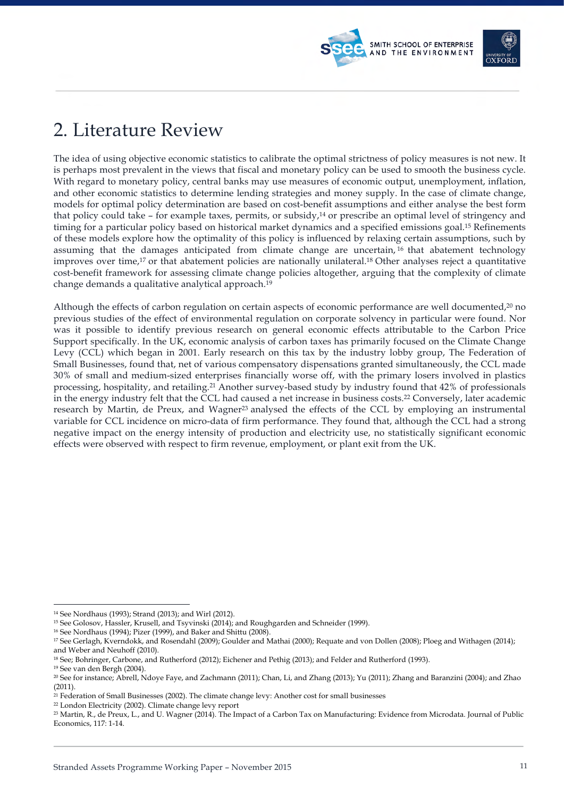

The idea of using objective economic statistics to calibrate the optimal strictness of policy measures is not new. It is perhaps most prevalent in the views that fiscal and monetary policy can be used to smooth the business cycle. With regard to monetary policy, central banks may use measures of economic output, unemployment, inflation, and other economic statistics to determine lending strategies and money supply. In the case of climate change, models for optimal policy determination are based on cost-benefit assumptions and either analyse the best form that policy could take - for example taxes, permits, or subsidy,<sup>14</sup> or prescribe an optimal level of stringency and timing for a particular policy based on historical market dynamics and a specified emissions goal.15 Refinements of these models explore how the optimality of this policy is influenced by relaxing certain assumptions, such by assuming that the damages anticipated from climate change are uncertain, <sup>16</sup> that abatement technology improves over time,17 or that abatement policies are nationally unilateral.18 Other analyses reject a quantitative cost-benefit framework for assessing climate change policies altogether, arguing that the complexity of climate change demands a qualitative analytical approach.19

SMITH SCHOOL OF ENTERPRISE AND THE ENVIRONMENT

Although the effects of carbon regulation on certain aspects of economic performance are well documented,20 no previous studies of the effect of environmental regulation on corporate solvency in particular were found. Nor was it possible to identify previous research on general economic effects attributable to the Carbon Price Support specifically. In the UK, economic analysis of carbon taxes has primarily focused on the Climate Change Levy (CCL) which began in 2001. Early research on this tax by the industry lobby group, The Federation of Small Businesses, found that, net of various compensatory dispensations granted simultaneously, the CCL made 30% of small and medium-sized enterprises financially worse off, with the primary losers involved in plastics processing, hospitality, and retailing.21 Another survey-based study by industry found that 42% of professionals in the energy industry felt that the CCL had caused a net increase in business costs.22 Conversely, later academic research by Martin, de Preux, and Wagner23 analysed the effects of the CCL by employing an instrumental variable for CCL incidence on micro-data of firm performance. They found that, although the CCL had a strong negative impact on the energy intensity of production and electricity use, no statistically significant economic effects were observed with respect to firm revenue, employment, or plant exit from the UK.

<sup>16</sup> See Nordhaus (1994); Pizer (1999), and Baker and Shittu (2008).

- <sup>18</sup> See; Bohringer, Carbone, and Rutherford (2012); Eichener and Pethig (2013); and Felder and Rutherford (1993).<br><sup>19</sup> See van den Bergh (2004).
- 

<sup>22</sup> London Electricity (2002). Climate change levy report

 <sup>14</sup> See Nordhaus (1993); Strand (2013); and Wirl (2012).

<sup>15</sup> See Golosov, Hassler, Krusell, and Tsyvinski (2014); and Roughgarden and Schneider (1999).

<sup>17</sup> See Gerlagh, Kverndokk, and Rosendahl (2009); Goulder and Mathai (2000); Requate and von Dollen (2008); Ploeg and Withagen (2014); and Weber and Neuhoff (2010).

<sup>20</sup> See for instance; Abrell, Ndoye Faye, and Zachmann (2011); Chan, Li, and Zhang (2013); Yu (2011); Zhang and Baranzini (2004); and Zhao (2011).

<sup>21</sup> Federation of Small Businesses (2002). The climate change levy: Another cost for small businesses

<sup>23</sup> Martin, R., de Preux, L., and U. Wagner (2014). The Impact of a Carbon Tax on Manufacturing: Evidence from Microdata. Journal of Public Economics, 117: 1-14.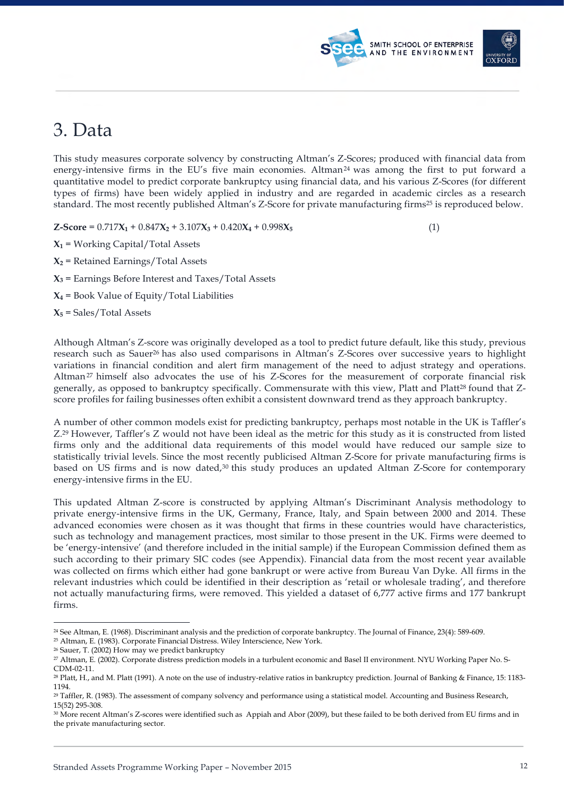## 3. Data

This study measures corporate solvency by constructing Altman's Z-Scores; produced with financial data from energy-intensive firms in the EU's five main economies. Altman<sup>24</sup> was among the first to put forward a quantitative model to predict corporate bankruptcy using financial data, and his various Z-Scores (for different types of firms) have been widely applied in industry and are regarded in academic circles as a research standard. The most recently published Altman's Z-Score for private manufacturing firms25 is reproduced below.

 $\text{Z-Score} = 0.717\text{X}_1 + 0.847\text{X}_2 + 3.107\text{X}_3 + 0.420\text{X}_4 + 0.998\text{X}_5$  (1)

SMITH SCHOOL OF ENTERPRISE AND THE ENVIRONMENT

 $X_1$  = Working Capital/Total Assets

 $X_2$  = Retained Earnings/Total Assets

 $X_3$  = Earnings Before Interest and Taxes/Total Assets

 $X_4$  = Book Value of Equity/Total Liabilities

 $X_5$  = Sales/Total Assets

Although Altman's Z-score was originally developed as a tool to predict future default, like this study, previous research such as Sauer<sup>26</sup> has also used comparisons in Altman's Z-Scores over successive years to highlight variations in financial condition and alert firm management of the need to adjust strategy and operations. Altman<sup>27</sup> himself also advocates the use of his Z-Scores for the measurement of corporate financial risk generally, as opposed to bankruptcy specifically. Commensurate with this view, Platt and Platt<sup>28</sup> found that Zscore profiles for failing businesses often exhibit a consistent downward trend as they approach bankruptcy.

A number of other common models exist for predicting bankruptcy, perhaps most notable in the UK is Taffler's Z.29 However, Taffler's Z would not have been ideal as the metric for this study as it is constructed from listed firms only and the additional data requirements of this model would have reduced our sample size to statistically trivial levels. Since the most recently publicised Altman Z-Score for private manufacturing firms is based on US firms and is now dated,30 this study produces an updated Altman Z-Score for contemporary energy-intensive firms in the EU.

This updated Altman Z-score is constructed by applying Altman's Discriminant Analysis methodology to private energy-intensive firms in the UK, Germany, France, Italy, and Spain between 2000 and 2014. These advanced economies were chosen as it was thought that firms in these countries would have characteristics, such as technology and management practices, most similar to those present in the UK. Firms were deemed to be 'energy-intensive' (and therefore included in the initial sample) if the European Commission defined them as such according to their primary SIC codes (see Appendix). Financial data from the most recent year available was collected on firms which either had gone bankrupt or were active from Bureau Van Dyke. All firms in the relevant industries which could be identified in their description as 'retail or wholesale trading', and therefore not actually manufacturing firms, were removed. This yielded a dataset of 6,777 active firms and 177 bankrupt firms.

 <sup>24</sup> See Altman, E. (1968). Discriminant analysis and the prediction of corporate bankruptcy. The Journal of Finance, 23(4): 589-609.

<sup>25</sup> Altman, E. (1983). Corporate Financial Distress. Wiley Interscience, New York.

<sup>&</sup>lt;sup>26</sup> Sauer, T. (2002) How may we predict bankruptcy

<sup>27</sup> Altman, E. (2002). Corporate distress prediction models in a turbulent economic and Basel II environment. NYU Working Paper No. S-CDM-02-11.

<sup>28</sup> Platt, H., and M. Platt (1991). A note on the use of industry-relative ratios in bankruptcy prediction. Journal of Banking & Finance, 15: 1183- 1194.

<sup>29</sup> Taffler, R. (1983). The assessment of company solvency and performance using a statistical model. Accounting and Business Research, 15(52) 295-308.

<sup>30</sup> More recent Altman's Z-scores were identified such as Appiah and Abor (2009), but these failed to be both derived from EU firms and in the private manufacturing sector.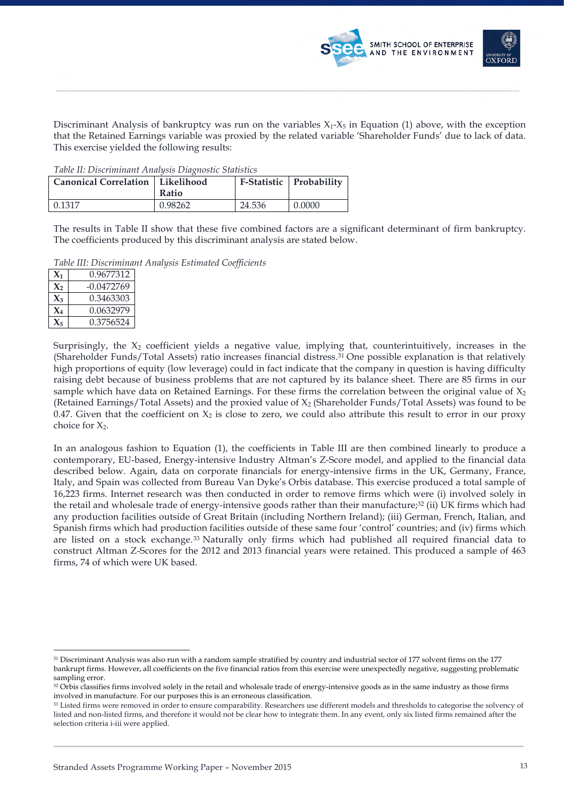



Discriminant Analysis of bankruptcy was run on the variables  $X_1$ - $X_5$  in Equation (1) above, with the exception that the Retained Earnings variable was proxied by the related variable 'Shareholder Funds' due to lack of data. This exercise yielded the following results:

*Table II: Discriminant Analysis Diagnostic Statistics*

| <b>Canonical Correlation   Likelihood</b> | Ratio   |        | F-Statistic Probability |
|-------------------------------------------|---------|--------|-------------------------|
| 0.1317                                    | 0.98262 | 24.536 | 0.0000                  |

The results in Table II show that these five combined factors are a significant determinant of firm bankruptcy. The coefficients produced by this discriminant analysis are stated below.

*Table III: Discriminant Analysis Estimated Coefficients*

| $\mathbf{X}_1$ | 0.9677312    |
|----------------|--------------|
| $\chi_{2}$     | $-0.0472769$ |
| $\chi_{\rm a}$ | 0.3463303    |
| $\mathbf{X}_4$ | 0.0632979    |
| $\mathbf{X}$   | 0.3756524    |

Surprisingly, the  $X_2$  coefficient yields a negative value, implying that, counterintuitively, increases in the (Shareholder Funds/Total Assets) ratio increases financial distress.31 One possible explanation is that relatively high proportions of equity (low leverage) could in fact indicate that the company in question is having difficulty raising debt because of business problems that are not captured by its balance sheet. There are 85 firms in our sample which have data on Retained Earnings. For these firms the correlation between the original value of  $X_2$ (Retained Earnings/Total Assets) and the proxied value of  $X_2$  (Shareholder Funds/Total Assets) was found to be 0.47. Given that the coefficient on  $X_2$  is close to zero, we could also attribute this result to error in our proxy choice for  $X_2$ .

In an analogous fashion to Equation (1), the coefficients in Table III are then combined linearly to produce a contemporary, EU-based, Energy-intensive Industry Altman's Z-Score model, and applied to the financial data described below. Again, data on corporate financials for energy-intensive firms in the UK, Germany, France, Italy, and Spain was collected from Bureau Van Dyke's Orbis database. This exercise produced a total sample of 16,223 firms. Internet research was then conducted in order to remove firms which were (i) involved solely in the retail and wholesale trade of energy-intensive goods rather than their manufacture;32 (ii) UK firms which had any production facilities outside of Great Britain (including Northern Ireland); (iii) German, French, Italian, and Spanish firms which had production facilities outside of these same four 'control' countries; and (iv) firms which are listed on a stock exchange. <sup>33</sup> Naturally only firms which had published all required financial data to construct Altman Z-Scores for the 2012 and 2013 financial years were retained. This produced a sample of 463 firms, 74 of which were UK based.

 <sup>31</sup> Discriminant Analysis was also run with a random sample stratified by country and industrial sector of 177 solvent firms on the 177 bankrupt firms. However, all coefficients on the five financial ratios from this exercise were unexpectedly negative, suggesting problematic sampling error.

<sup>&</sup>lt;sup>32</sup> Orbis classifies firms involved solely in the retail and wholesale trade of energy-intensive goods as in the same industry as those firms involved in manufacture. For our purposes this is an erroneous classification.

<sup>33</sup> Listed firms were removed in order to ensure comparability. Researchers use different models and thresholds to categorise the solvency of listed and non-listed firms, and therefore it would not be clear how to integrate them. In any event, only six listed firms remained after the selection criteria i-iii were applied.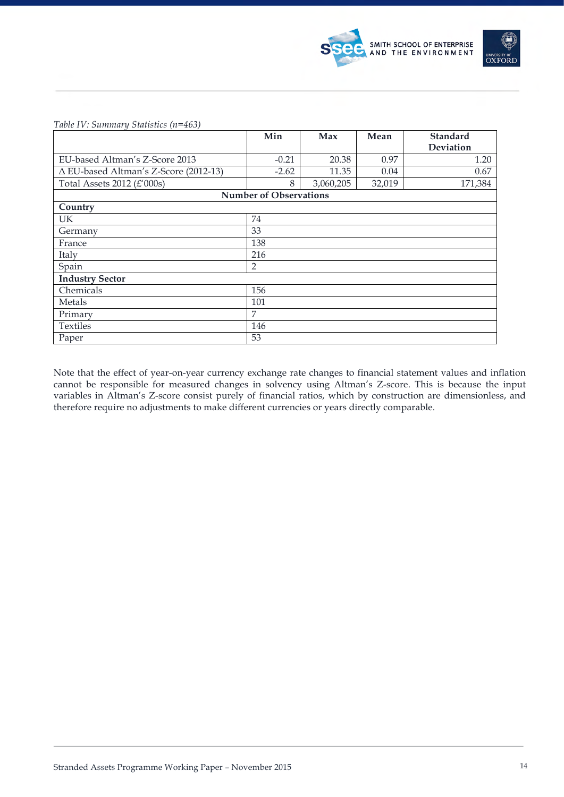

### *Table IV: Summary Statistics (n=463)*

|                                       | Min                           | Max       | Mean   | <b>Standard</b> |
|---------------------------------------|-------------------------------|-----------|--------|-----------------|
|                                       |                               |           |        | Deviation       |
| EU-based Altman's Z-Score 2013        | $-0.21$                       | 20.38     | 0.97   | 1.20            |
| ∆ EU-based Altman's Z-Score (2012-13) | $-2.62$                       | 11.35     | 0.04   | 0.67            |
| Total Assets 2012 $(E'000s)$          | 8                             | 3,060,205 | 32,019 | 171,384         |
|                                       | <b>Number of Observations</b> |           |        |                 |
| Country                               |                               |           |        |                 |
| UK.                                   | 74                            |           |        |                 |
| Germany                               | 33                            |           |        |                 |
| France                                | 138                           |           |        |                 |
| Italy                                 | 216                           |           |        |                 |
| Spain                                 | 2                             |           |        |                 |
| <b>Industry Sector</b>                |                               |           |        |                 |
| Chemicals                             | 156                           |           |        |                 |
| Metals                                | 101                           |           |        |                 |
| Primary                               | 7                             |           |        |                 |
| Textiles                              | 146                           |           |        |                 |
| Paper                                 | 53                            |           |        |                 |

Note that the effect of year-on-year currency exchange rate changes to financial statement values and inflation cannot be responsible for measured changes in solvency using Altman's Z-score. This is because the input variables in Altman's Z-score consist purely of financial ratios, which by construction are dimensionless, and therefore require no adjustments to make different currencies or years directly comparable.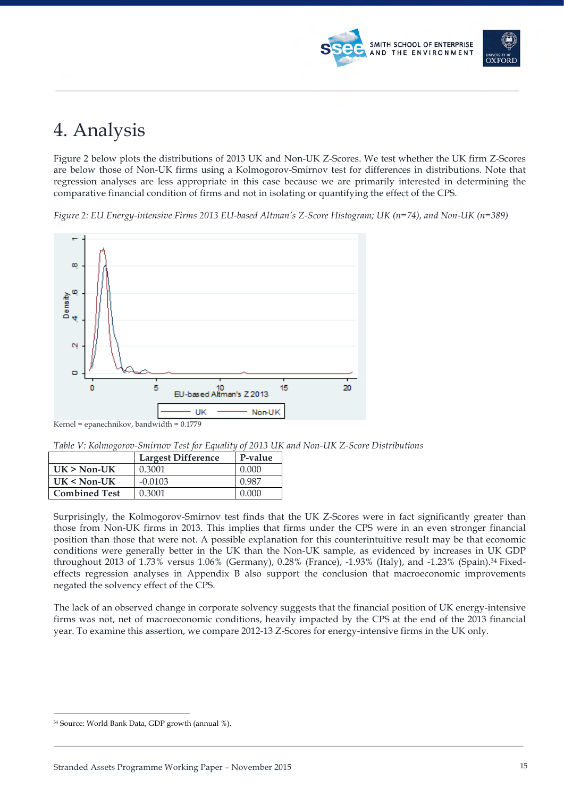

## 4. Analysis

Figure 2 below plots the distributions of 2013 UK and Non-UK Z-Scores. We test whether the UK firm Z-Scores are below those of Non-UK firms using a Kolmogorov-Smirnov test for differences in distributions. Note that regression analyses are less appropriate in this case because we are primarily interested in determining the comparative financial condition of firms and not in isolating or quantifying the effect of the CPS.

*Figure 2: EU Energy-intensive Firms 2013 EU-based Altman's Z-Score Histogram; UK (n=74), and Non-UK (n=389)*



*Table V: Kolmogorov-Smirnov Test for Equality of 2013 UK and Non-UK Z-Score Distributions*

|                      | <b>Largest Difference</b> | P-value |
|----------------------|---------------------------|---------|
| $UK > Non-UK$        | 0.3001                    | 0.000   |
| $UK < Non-UK$        | $-0.0103$                 | 0.987   |
| <b>Combined Test</b> | 0.3001                    | 0.000   |

Surprisingly, the Kolmogorov-Smirnov test finds that the UK Z-Scores were in fact significantly greater than those from Non-UK firms in 2013. This implies that firms under the CPS were in an even stronger financial position than those that were not. A possible explanation for this counterintuitive result may be that economic conditions were generally better in the UK than the Non-UK sample, as evidenced by increases in UK GDP throughout 2013 of 1.73% versus 1.06% (Germany), 0.28% (France), -1.93% (Italy), and -1.23% (Spain).34 Fixedeffects regression analyses in Appendix B also support the conclusion that macroeconomic improvements negated the solvency effect of the CPS.

The lack of an observed change in corporate solvency suggests that the financial position of UK energy-intensive firms was not, net of macroeconomic conditions, heavily impacted by the CPS at the end of the 2013 financial year. To examine this assertion, we compare 2012-13 Z-Scores for energy-intensive firms in the UK only.

 <sup>34</sup> Source: World Bank Data, GDP growth (annual %).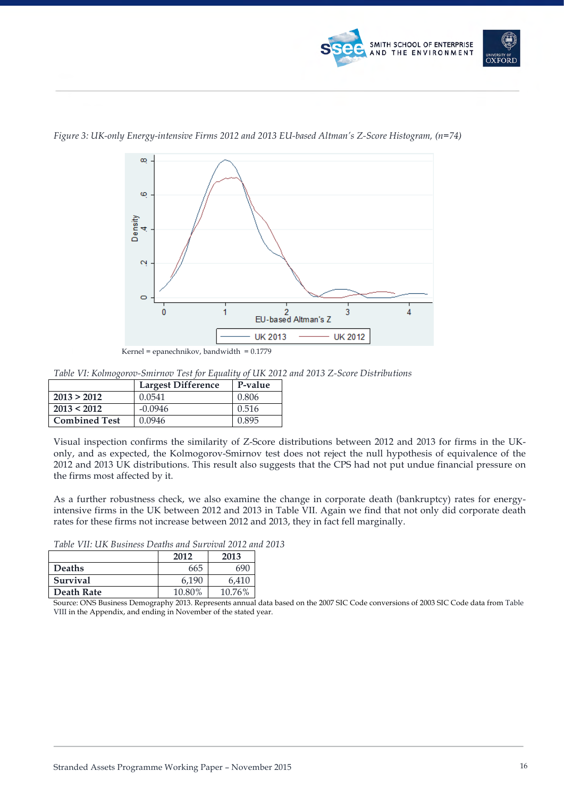



*Figure 3: UK-only Energy-intensive Firms 2012 and 2013 EU-based Altman's Z-Score Histogram, (n=74)*

Kernel = epanechnikov, bandwidth = 0.1779

*Table VI: Kolmogorov-Smirnov Test for Equality of UK 2012 and 2013 Z-Score Distributions*

|                      | <b>Largest Difference</b> | P-value |
|----------------------|---------------------------|---------|
| 2013 > 2012          | 0.0541                    | 0.806   |
| 2013 < 2012          | $-0.0946$                 | 0.516   |
| <b>Combined Test</b> | 0.0946                    | 0.895   |

Visual inspection confirms the similarity of Z-Score distributions between 2012 and 2013 for firms in the UKonly, and as expected, the Kolmogorov-Smirnov test does not reject the null hypothesis of equivalence of the 2012 and 2013 UK distributions. This result also suggests that the CPS had not put undue financial pressure on the firms most affected by it.

As a further robustness check, we also examine the change in corporate death (bankruptcy) rates for energyintensive firms in the UK between 2012 and 2013 in Table VII. Again we find that not only did corporate death rates for these firms not increase between 2012 and 2013, they in fact fell marginally.

*Table VII: UK Business Deaths and Survival 2012 and 2013*

|               | 2012   | 2013   |
|---------------|--------|--------|
| <b>Deaths</b> | 665    | 690    |
| Survival      | 6.190  | 6.410  |
| Death Rate    | 10.80% | 10.76% |

Source: ONS Business Demography 2013. Represents annual data based on the 2007 SIC Code conversions of 2003 SIC Code data from Table VIII in the Appendix, and ending in November of the stated year.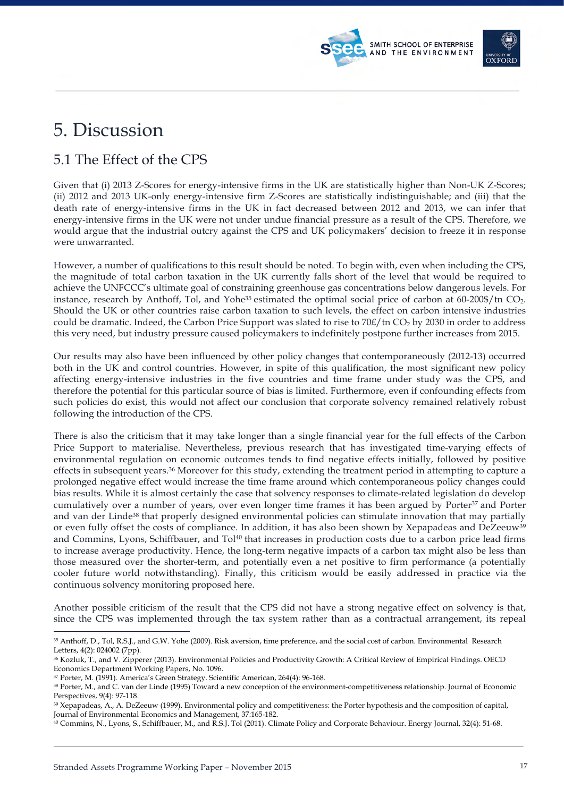## 5. Discussion

### 5.1 The Effect of the CPS

Given that (i) 2013 Z-Scores for energy-intensive firms in the UK are statistically higher than Non-UK Z-Scores; (ii) 2012 and 2013 UK-only energy-intensive firm Z-Scores are statistically indistinguishable; and (iii) that the death rate of energy-intensive firms in the UK in fact decreased between 2012 and 2013, we can infer that energy-intensive firms in the UK were not under undue financial pressure as a result of the CPS. Therefore, we would argue that the industrial outcry against the CPS and UK policymakers' decision to freeze it in response were unwarranted.

SMITH SCHOOL OF ENTERPRISE AND THE ENVIRONMENT

However, a number of qualifications to this result should be noted. To begin with, even when including the CPS, the magnitude of total carbon taxation in the UK currently falls short of the level that would be required to achieve the UNFCCC's ultimate goal of constraining greenhouse gas concentrations below dangerous levels. For instance, research by Anthoff, Tol, and Yohe<sup>35</sup> estimated the optimal social price of carbon at  $60-200\frac{\epsilon}{\pi}$  CO<sub>2</sub>. Should the UK or other countries raise carbon taxation to such levels, the effect on carbon intensive industries could be dramatic. Indeed, the Carbon Price Support was slated to rise to 70£/tn CO<sub>2</sub> by 2030 in order to address this very need, but industry pressure caused policymakers to indefinitely postpone further increases from 2015.

Our results may also have been influenced by other policy changes that contemporaneously (2012-13) occurred both in the UK and control countries. However, in spite of this qualification, the most significant new policy affecting energy-intensive industries in the five countries and time frame under study was the CPS, and therefore the potential for this particular source of bias is limited. Furthermore, even if confounding effects from such policies do exist, this would not affect our conclusion that corporate solvency remained relatively robust following the introduction of the CPS.

There is also the criticism that it may take longer than a single financial year for the full effects of the Carbon Price Support to materialise. Nevertheless, previous research that has investigated time-varying effects of environmental regulation on economic outcomes tends to find negative effects initially, followed by positive effects in subsequent years.36 Moreover for this study, extending the treatment period in attempting to capture a prolonged negative effect would increase the time frame around which contemporaneous policy changes could bias results. While it is almost certainly the case that solvency responses to climate-related legislation do develop cumulatively over a number of years, over even longer time frames it has been argued by Porter<sup>37</sup> and Porter and van der Linde<sup>38</sup> that properly designed environmental policies can stimulate innovation that may partially or even fully offset the costs of compliance. In addition, it has also been shown by Xepapadeas and DeZeeuw<sup>39</sup> and Commins, Lyons, Schiffbauer, and Tol<sup>40</sup> that increases in production costs due to a carbon price lead firms to increase average productivity. Hence, the long-term negative impacts of a carbon tax might also be less than those measured over the shorter-term, and potentially even a net positive to firm performance (a potentially cooler future world notwithstanding). Finally, this criticism would be easily addressed in practice via the continuous solvency monitoring proposed here.

Another possible criticism of the result that the CPS did not have a strong negative effect on solvency is that, since the CPS was implemented through the tax system rather than as a contractual arrangement, its repeal

<sup>35</sup> Anthoff, D., Tol, R.S.J., and G.W. Yohe (2009). Risk aversion, time preference, and the social cost of carbon. Environmental Research Letters, 4(2): 024002 (7pp).

<sup>36</sup> Kozluk, T., and V. Zipperer (2013). Environmental Policies and Productivity Growth: A Critical Review of Empirical Findings. OECD Economics Department Working Papers, No. 1096.

<sup>37</sup> Porter, M. (1991). America's Green Strategy. Scientific American, 264(4): 96-168.

<sup>38</sup> Porter, M., and C. van der Linde (1995) Toward a new conception of the environment-competitiveness relationship. Journal of Economic Perspectives, 9(4): 97-118.

<sup>39</sup> Xepapadeas, A., A. DeZeeuw (1999). Environmental policy and competitiveness: the Porter hypothesis and the composition of capital, Journal of Environmental Economics and Management, 37:165-182.

<sup>40</sup> Commins, N., Lyons, S., Schiffbauer, M., and R.S.J. Tol (2011). Climate Policy and Corporate Behaviour. Energy Journal, 32(4): 51-68.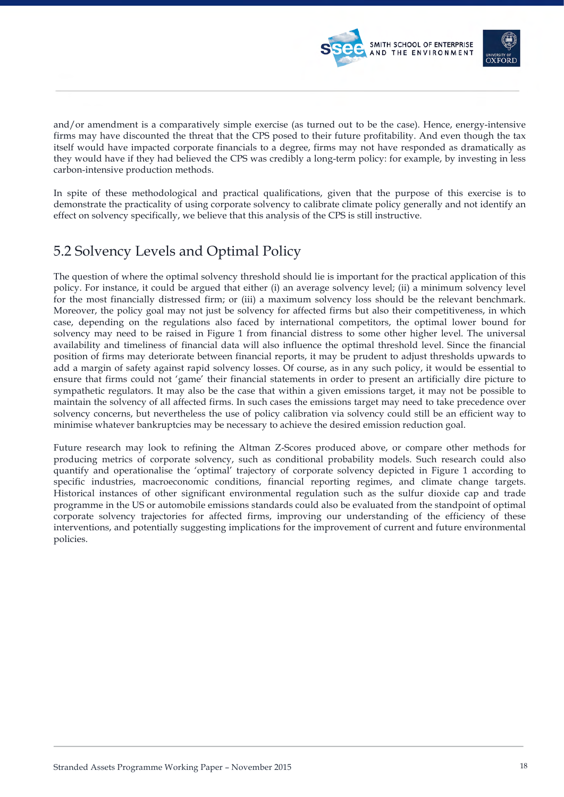

and/or amendment is a comparatively simple exercise (as turned out to be the case). Hence, energy-intensive firms may have discounted the threat that the CPS posed to their future profitability. And even though the tax itself would have impacted corporate financials to a degree, firms may not have responded as dramatically as they would have if they had believed the CPS was credibly a long-term policy: for example, by investing in less carbon-intensive production methods.

In spite of these methodological and practical qualifications, given that the purpose of this exercise is to demonstrate the practicality of using corporate solvency to calibrate climate policy generally and not identify an effect on solvency specifically, we believe that this analysis of the CPS is still instructive.

## 5.2 Solvency Levels and Optimal Policy

The question of where the optimal solvency threshold should lie is important for the practical application of this policy. For instance, it could be argued that either (i) an average solvency level; (ii) a minimum solvency level for the most financially distressed firm; or (iii) a maximum solvency loss should be the relevant benchmark. Moreover, the policy goal may not just be solvency for affected firms but also their competitiveness, in which case, depending on the regulations also faced by international competitors, the optimal lower bound for solvency may need to be raised in Figure 1 from financial distress to some other higher level. The universal availability and timeliness of financial data will also influence the optimal threshold level. Since the financial position of firms may deteriorate between financial reports, it may be prudent to adjust thresholds upwards to add a margin of safety against rapid solvency losses. Of course, as in any such policy, it would be essential to ensure that firms could not 'game' their financial statements in order to present an artificially dire picture to sympathetic regulators. It may also be the case that within a given emissions target, it may not be possible to maintain the solvency of all affected firms. In such cases the emissions target may need to take precedence over solvency concerns, but nevertheless the use of policy calibration via solvency could still be an efficient way to minimise whatever bankruptcies may be necessary to achieve the desired emission reduction goal.

Future research may look to refining the Altman Z-Scores produced above, or compare other methods for producing metrics of corporate solvency, such as conditional probability models. Such research could also quantify and operationalise the 'optimal' trajectory of corporate solvency depicted in Figure 1 according to specific industries, macroeconomic conditions, financial reporting regimes, and climate change targets. Historical instances of other significant environmental regulation such as the sulfur dioxide cap and trade programme in the US or automobile emissions standards could also be evaluated from the standpoint of optimal corporate solvency trajectories for affected firms, improving our understanding of the efficiency of these interventions, and potentially suggesting implications for the improvement of current and future environmental policies.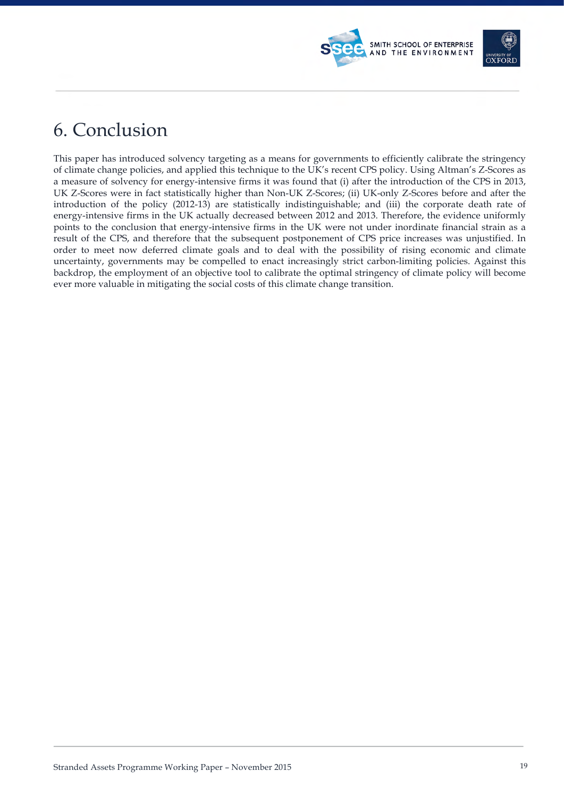## 6. Conclusion

This paper has introduced solvency targeting as a means for governments to efficiently calibrate the stringency of climate change policies, and applied this technique to the UK's recent CPS policy. Using Altman's Z-Scores as a measure of solvency for energy-intensive firms it was found that (i) after the introduction of the CPS in 2013, UK Z-Scores were in fact statistically higher than Non-UK Z-Scores; (ii) UK-only Z-Scores before and after the introduction of the policy (2012-13) are statistically indistinguishable; and (iii) the corporate death rate of energy-intensive firms in the UK actually decreased between 2012 and 2013. Therefore, the evidence uniformly points to the conclusion that energy-intensive firms in the UK were not under inordinate financial strain as a result of the CPS, and therefore that the subsequent postponement of CPS price increases was unjustified. In order to meet now deferred climate goals and to deal with the possibility of rising economic and climate uncertainty, governments may be compelled to enact increasingly strict carbon-limiting policies. Against this backdrop, the employment of an objective tool to calibrate the optimal stringency of climate policy will become ever more valuable in mitigating the social costs of this climate change transition.

SMITH SCHOOL OF ENTERPRISE AND THE ENVIRONMENT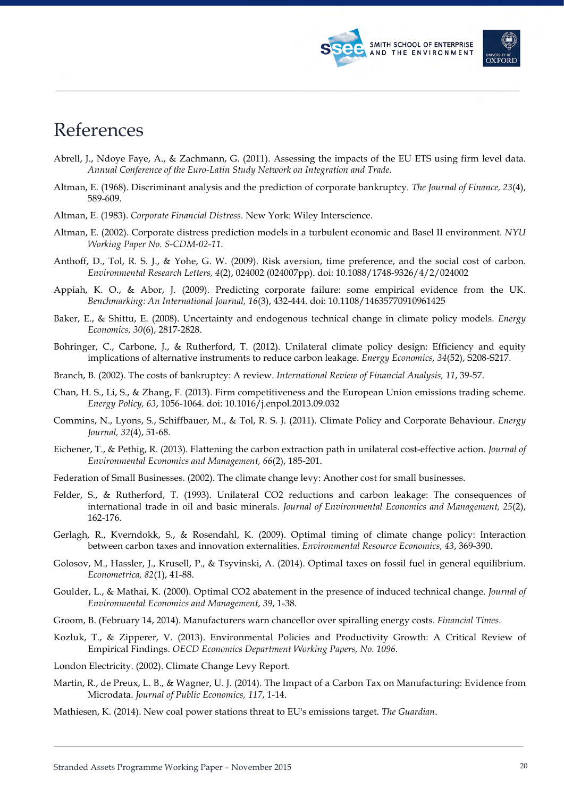



## References

- Abrell, J., Ndoye Faye, A., & Zachmann, G. (2011). Assessing the impacts of the EU ETS using firm level data. *Annual Conference of the Euro-Latin Study Network on Integration and Trade*.
- Altman, E. (1968). Discriminant analysis and the prediction of corporate bankruptcy. *The Journal of Finance, 23*(4), 589-609.
- Altman, E. (1983). *Corporate Financial Distress*. New York: Wiley Interscience.
- Altman, E. (2002). Corporate distress prediction models in a turbulent economic and Basel II environment. *NYU Working Paper No. S-CDM-02-11*.
- Anthoff, D., Tol, R. S. J., & Yohe, G. W. (2009). Risk aversion, time preference, and the social cost of carbon. *Environmental Research Letters, 4*(2), 024002 (024007pp). doi: 10.1088/1748-9326/4/2/024002
- Appiah, K. O., & Abor, J. (2009). Predicting corporate failure: some empirical evidence from the UK. *Benchmarking: An International Journal, 16*(3), 432-444. doi: 10.1108/14635770910961425
- Baker, E., & Shittu, E. (2008). Uncertainty and endogenous technical change in climate policy models. *Energy Economics, 30*(6), 2817-2828.
- Bohringer, C., Carbone, J., & Rutherford, T. (2012). Unilateral climate policy design: Efficiency and equity implications of alternative instruments to reduce carbon leakage. *Energy Economics, 34*(52), S208-S217.
- Branch, B. (2002). The costs of bankruptcy: A review. *International Review of Financial Analysis, 11*, 39-57.
- Chan, H. S., Li, S., & Zhang, F. (2013). Firm competitiveness and the European Union emissions trading scheme. *Energy Policy, 63*, 1056-1064. doi: 10.1016/j.enpol.2013.09.032
- Commins, N., Lyons, S., Schiffbauer, M., & Tol, R. S. J. (2011). Climate Policy and Corporate Behaviour. *Energy Journal, 32*(4), 51-68.
- Eichener, T., & Pethig, R. (2013). Flattening the carbon extraction path in unilateral cost-effective action. *Journal of Environmental Economics and Management, 66*(2), 185-201.
- Federation of Small Businesses. (2002). The climate change levy: Another cost for small businesses.
- Felder, S., & Rutherford, T. (1993). Unilateral CO2 reductions and carbon leakage: The consequences of international trade in oil and basic minerals. *Journal of Environmental Economics and Management, 25*(2), 162-176.
- Gerlagh, R., Kverndokk, S., & Rosendahl, K. (2009). Optimal timing of climate change policy: Interaction between carbon taxes and innovation externalities. *Environmental Resource Economics, 43*, 369-390.
- Golosov, M., Hassler, J., Krusell, P., & Tsyvinski, A. (2014). Optimal taxes on fossil fuel in general equilibrium. *Econometrica, 82*(1), 41-88.
- Goulder, L., & Mathai, K. (2000). Optimal CO2 abatement in the presence of induced technical change. *Journal of Environmental Economics and Management, 39*, 1-38.
- Groom, B. (February 14, 2014). Manufacturers warn chancellor over spiralling energy costs. *Financial Times*.
- Kozluk, T., & Zipperer, V. (2013). Environmental Policies and Productivity Growth: A Critical Review of Empirical Findings. *OECD Economics Department Working Papers, No. 1096*.
- London Electricity. (2002). Climate Change Levy Report.
- Martin, R., de Preux, L. B., & Wagner, U. J. (2014). The Impact of a Carbon Tax on Manufacturing: Evidence from Microdata. *Journal of Public Economics, 117*, 1-14.
- Mathiesen, K. (2014). New coal power stations threat to EU's emissions target. *The Guardian*.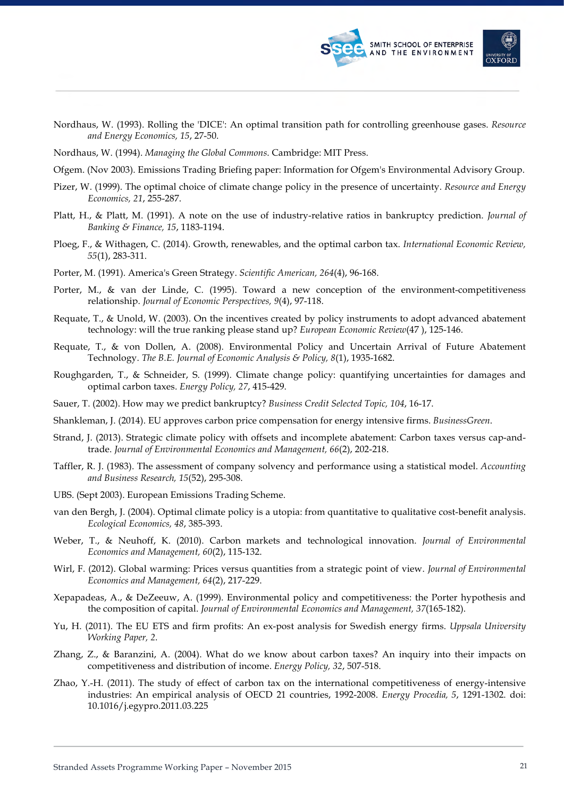

- Nordhaus, W. (1993). Rolling the 'DICE': An optimal transition path for controlling greenhouse gases. *Resource and Energy Economics, 15*, 27-50.
- Nordhaus, W. (1994). *Managing the Global Commons*. Cambridge: MIT Press.
- Ofgem. (Nov 2003). Emissions Trading Briefing paper: Information for Ofgem's Environmental Advisory Group.
- Pizer, W. (1999). The optimal choice of climate change policy in the presence of uncertainty. *Resource and Energy Economics, 21*, 255-287.
- Platt, H., & Platt, M. (1991). A note on the use of industry-relative ratios in bankruptcy prediction. *Journal of Banking & Finance, 15*, 1183-1194.
- Ploeg, F., & Withagen, C. (2014). Growth, renewables, and the optimal carbon tax. *International Economic Review, 55*(1), 283-311.
- Porter, M. (1991). America's Green Strategy. *Scientific American, 264*(4), 96-168.
- Porter, M., & van der Linde, C. (1995). Toward a new conception of the environment-competitiveness relationship. *Journal of Economic Perspectives, 9*(4), 97-118.
- Requate, T., & Unold, W. (2003). On the incentives created by policy instruments to adopt advanced abatement technology: will the true ranking please stand up? *European Economic Review*(47 ), 125-146.
- Requate, T., & von Dollen, A. (2008). Environmental Policy and Uncertain Arrival of Future Abatement Technology. *The B.E. Journal of Economic Analysis & Policy, 8*(1), 1935-1682.
- Roughgarden, T., & Schneider, S. (1999). Climate change policy: quantifying uncertainties for damages and optimal carbon taxes. *Energy Policy, 27*, 415-429.
- Sauer, T. (2002). How may we predict bankruptcy? *Business Credit Selected Topic, 104*, 16-17.
- Shankleman, J. (2014). EU approves carbon price compensation for energy intensive firms. *BusinessGreen*.
- Strand, J. (2013). Strategic climate policy with offsets and incomplete abatement: Carbon taxes versus cap-andtrade. *Journal of Environmental Economics and Management, 66*(2), 202-218.
- Taffler, R. J. (1983). The assessment of company solvency and performance using a statistical model. *Accounting and Business Research, 15*(52), 295-308.
- UBS. (Sept 2003). European Emissions Trading Scheme.
- van den Bergh, J. (2004). Optimal climate policy is a utopia: from quantitative to qualitative cost-benefit analysis. *Ecological Economics, 48*, 385-393.
- Weber, T., & Neuhoff, K. (2010). Carbon markets and technological innovation. *Journal of Environmental Economics and Management, 60*(2), 115-132.
- Wirl, F. (2012). Global warming: Prices versus quantities from a strategic point of view. *Journal of Environmental Economics and Management, 64*(2), 217-229.
- Xepapadeas, A., & DeZeeuw, A. (1999). Environmental policy and competitiveness: the Porter hypothesis and the composition of capital. *Journal of Environmental Economics and Management, 37*(165-182).
- Yu, H. (2011). The EU ETS and firm profits: An ex-post analysis for Swedish energy firms. *Uppsala University Working Paper, 2*.
- Zhang, Z., & Baranzini, A. (2004). What do we know about carbon taxes? An inquiry into their impacts on competitiveness and distribution of income. *Energy Policy, 32*, 507-518.
- Zhao, Y.-H. (2011). The study of effect of carbon tax on the international competitiveness of energy-intensive industries: An empirical analysis of OECD 21 countries, 1992-2008. *Energy Procedia, 5*, 1291-1302. doi: 10.1016/j.egypro.2011.03.225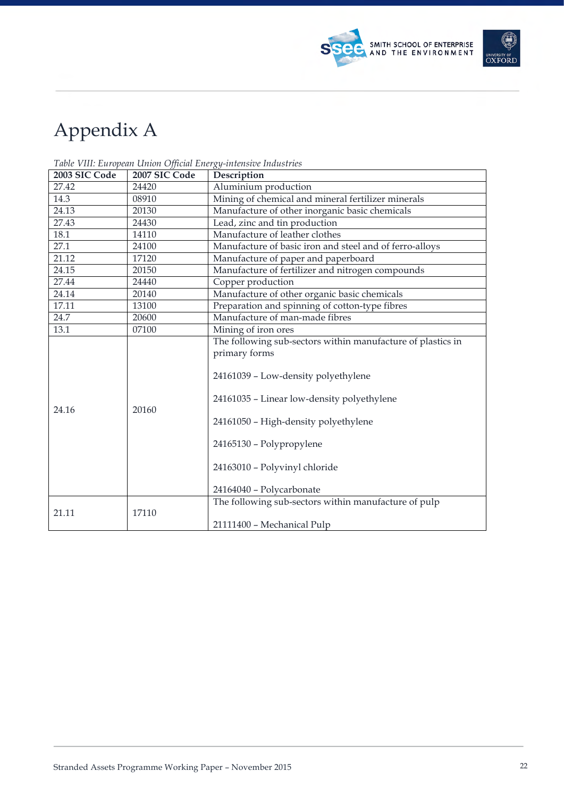| Appendix A |
|------------|
|------------|

| 2003 SIC Code | 2007 SIC Code | Description                                                                                                                                                                                                                                                                                        |  |  |
|---------------|---------------|----------------------------------------------------------------------------------------------------------------------------------------------------------------------------------------------------------------------------------------------------------------------------------------------------|--|--|
| 27.42         | 24420         | Aluminium production                                                                                                                                                                                                                                                                               |  |  |
| 14.3          | 08910         | Mining of chemical and mineral fertilizer minerals                                                                                                                                                                                                                                                 |  |  |
| 24.13         | 20130         | Manufacture of other inorganic basic chemicals                                                                                                                                                                                                                                                     |  |  |
| 27.43         | 24430         | Lead, zinc and tin production                                                                                                                                                                                                                                                                      |  |  |
| 18.1          | 14110         | Manufacture of leather clothes                                                                                                                                                                                                                                                                     |  |  |
| 27.1          | 24100         | Manufacture of basic iron and steel and of ferro-alloys                                                                                                                                                                                                                                            |  |  |
| 21.12         | 17120         | Manufacture of paper and paperboard                                                                                                                                                                                                                                                                |  |  |
| 24.15         | 20150         | Manufacture of fertilizer and nitrogen compounds                                                                                                                                                                                                                                                   |  |  |
| 27.44         | 24440         | Copper production                                                                                                                                                                                                                                                                                  |  |  |
| 24.14         | 20140         | Manufacture of other organic basic chemicals                                                                                                                                                                                                                                                       |  |  |
| 17.11         | 13100         | Preparation and spinning of cotton-type fibres                                                                                                                                                                                                                                                     |  |  |
| 24.7          | 20600         | Manufacture of man-made fibres                                                                                                                                                                                                                                                                     |  |  |
| 13.1          | 07100         | Mining of iron ores                                                                                                                                                                                                                                                                                |  |  |
| 24.16         | 20160         | The following sub-sectors within manufacture of plastics in<br>primary forms<br>24161039 - Low-density polyethylene<br>24161035 - Linear low-density polyethylene<br>24161050 - High-density polyethylene<br>24165130 - Polypropylene<br>24163010 - Polyvinyl chloride<br>24164040 - Polycarbonate |  |  |
| 21.11         | 17110         | The following sub-sectors within manufacture of pulp<br>21111400 - Mechanical Pulp                                                                                                                                                                                                                 |  |  |

*Table VIII: European Union Official Energy-intensive Industries*



SMITH SCHOOL OF ENTERPRISE<br>AND THE ENVIRONMENT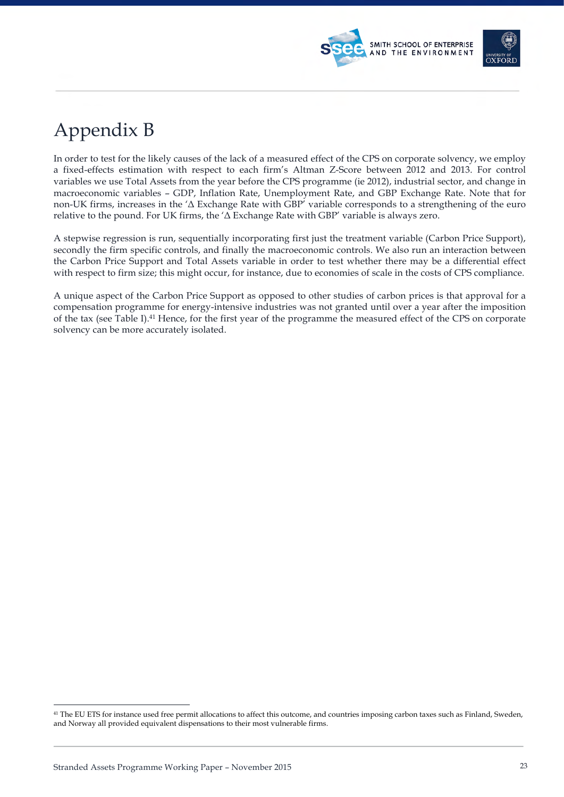



## Appendix B

In order to test for the likely causes of the lack of a measured effect of the CPS on corporate solvency, we employ a fixed-effects estimation with respect to each firm's Altman Z-Score between 2012 and 2013. For control variables we use Total Assets from the year before the CPS programme (ie 2012), industrial sector, and change in macroeconomic variables – GDP, Inflation Rate, Unemployment Rate, and GBP Exchange Rate. Note that for non-UK firms, increases in the 'Δ Exchange Rate with GBP' variable corresponds to a strengthening of the euro relative to the pound. For UK firms, the ' $\Delta$  Exchange Rate with GBP' variable is always zero.

A stepwise regression is run, sequentially incorporating first just the treatment variable (Carbon Price Support), secondly the firm specific controls, and finally the macroeconomic controls. We also run an interaction between the Carbon Price Support and Total Assets variable in order to test whether there may be a differential effect with respect to firm size; this might occur, for instance, due to economies of scale in the costs of CPS compliance.

A unique aspect of the Carbon Price Support as opposed to other studies of carbon prices is that approval for a compensation programme for energy-intensive industries was not granted until over a year after the imposition of the tax (see Table I).41 Hence, for the first year of the programme the measured effect of the CPS on corporate solvency can be more accurately isolated.

-

<sup>41</sup> The EU ETS for instance used free permit allocations to affect this outcome, and countries imposing carbon taxes such as Finland, Sweden, and Norway all provided equivalent dispensations to their most vulnerable firms.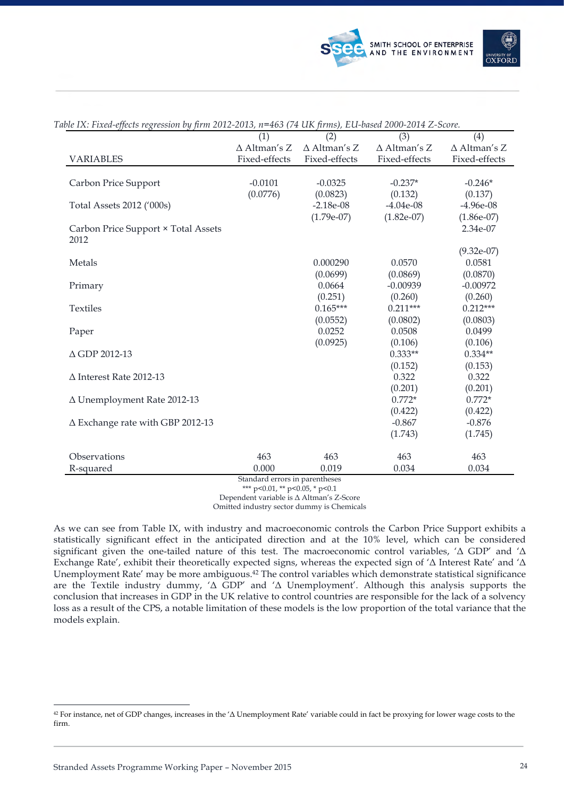

|                                         | (1)                 | (2)                 | (3)                 | (4)                 |
|-----------------------------------------|---------------------|---------------------|---------------------|---------------------|
|                                         | $\Delta$ Altman's Z | $\Delta$ Altman's Z | $\Delta$ Altman's Z | $\Delta$ Altman's Z |
| <b>VARIABLES</b>                        | Fixed-effects       | Fixed-effects       | Fixed-effects       | Fixed-effects       |
|                                         |                     |                     |                     |                     |
| Carbon Price Support                    | $-0.0101$           | $-0.0325$           | $-0.237*$           | $-0.246*$           |
|                                         | (0.0776)            | (0.0823)            | (0.132)             | (0.137)             |
| Total Assets 2012 ('000s)               |                     | $-2.18e-08$         | $-4.04e-08$         | $-4.96e-08$         |
|                                         |                     | $(1.79e-07)$        | $(1.82e-07)$        | $(1.86e-07)$        |
| Carbon Price Support × Total Assets     |                     |                     |                     | 2.34e-07            |
| 2012                                    |                     |                     |                     |                     |
|                                         |                     |                     |                     | $(9.32e-07)$        |
| Metals                                  |                     | 0.000290            | 0.0570              | 0.0581              |
|                                         |                     | (0.0699)            | (0.0869)            | (0.0870)            |
| Primary                                 |                     | 0.0664              | $-0.00939$          | $-0.00972$          |
|                                         |                     | (0.251)             | (0.260)             | (0.260)             |
| <b>Textiles</b>                         |                     | $0.165***$          | $0.211***$          | $0.212***$          |
|                                         |                     | (0.0552)            | (0.0802)            | (0.0803)            |
| Paper                                   |                     | 0.0252              | 0.0508              | 0.0499              |
|                                         |                     | (0.0925)            | (0.106)             | (0.106)             |
| △ GDP 2012-13                           |                     |                     | $0.333**$           | $0.334**$           |
|                                         |                     |                     | (0.152)             | (0.153)             |
| $\Delta$ Interest Rate 2012-13          |                     |                     | 0.322               | 0.322               |
|                                         |                     |                     | (0.201)             | (0.201)             |
| ∆ Unemployment Rate 2012-13             |                     |                     | $0.772*$            | $0.772*$            |
|                                         |                     |                     | (0.422)             | (0.422)             |
| $\Delta$ Exchange rate with GBP 2012-13 |                     |                     | $-0.867$            | $-0.876$            |
|                                         |                     |                     | (1.743)             | (1.745)             |
| Observations                            | 463                 | 463                 | 463                 | 463                 |
| R-squared                               | 0.000               | 0.019               | 0.034               | 0.034               |
|                                         |                     |                     |                     |                     |

*Table IX: Fixed-effects regression by firm 2012-2013, n=463 (74 UK firms), EU-based 2000-2014 Z-Score.*

Standard errors in parentheses

\*\*\* p<0.01, \*\* p<0.05, \* p<0.1 Dependent variable is Δ Altman's Z-Score

Omitted industry sector dummy is Chemicals

As we can see from Table IX, with industry and macroeconomic controls the Carbon Price Support exhibits a statistically significant effect in the anticipated direction and at the 10% level, which can be considered significant given the one-tailed nature of this test. The macroeconomic control variables, 'Δ GDP' and 'Δ Exchange Rate', exhibit their theoretically expected signs, whereas the expected sign of 'Δ Interest Rate' and 'Δ Unemployment Rate' may be more ambiguous.42 The control variables which demonstrate statistical significance are the Textile industry dummy, 'Δ GDP' and 'Δ Unemployment'. Although this analysis supports the conclusion that increases in GDP in the UK relative to control countries are responsible for the lack of a solvency loss as a result of the CPS, a notable limitation of these models is the low proportion of the total variance that the models explain.

<sup>-</sup><sup>42</sup> For instance, net of GDP changes, increases in the 'Δ Unemployment Rate' variable could in fact be proxying for lower wage costs to the firm.